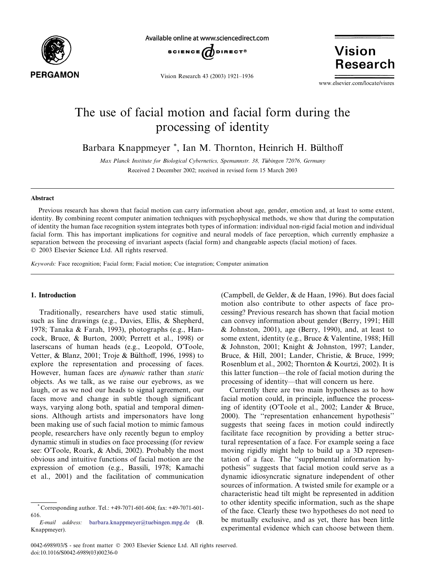

Available online at www.sciencedirect.com



Vision Research 43 (2003) 1921–1936

**Vision Research** 

www.elsevier.com/locate/visres

# The use of facial motion and facial form during the processing of identity

Barbara Knappmeyer \*, Ian M. Thornton, Heinrich H. Bülthoff

Max Planck Institute for Biological Cybernetics, Spemannstr, 38, Tübingen 72076, Germany Received 2 December 2002; received in revised form 15 March 2003

#### Abstract

Previous research has shown that facial motion can carry information about age, gender, emotion and, at least to some extent, identity. By combining recent computer animation techniques with psychophysical methods, we show that during the computation of identity the human face recognition system integrates both types of information: individual non-rigid facial motion and individual facial form. This has important implications for cognitive and neural models of face perception, which currently emphasize a separation between the processing of invariant aspects (facial form) and changeable aspects (facial motion) of faces. 2003 Elsevier Science Ltd. All rights reserved.

Keywords: Face recognition; Facial form; Facial motion; Cue integration; Computer animation

#### 1. Introduction

Traditionally, researchers have used static stimuli, such as line drawings (e.g., Davies, Ellis, & Shepherd, 1978; Tanaka & Farah, 1993), photographs (e.g., Hancock, Bruce, & Burton, 2000; Perrett et al., 1998) or laserscans of human heads (e.g., Leopold, OToole, Vetter, & Blanz, 2001; Troje & Bülthoff, 1996, 1998) to explore the representation and processing of faces. However, human faces are dynamic rather than static objects. As we talk, as we raise our eyebrows, as we laugh, or as we nod our heads to signal agreement, our faces move and change in subtle though significant ways, varying along both, spatial and temporal dimensions. Although artists and impersonators have long been making use of such facial motion to mimic famous people, researchers have only recently begun to employ dynamic stimuli in studies on face processing (for review see: OToole, Roark, & Abdi, 2002). Probably the most obvious and intuitive functions of facial motion are the expression of emotion (e.g., Bassili, 1978; Kamachi et al., 2001) and the facilitation of communication

(Campbell, de Gelder, & de Haan, 1996). But does facial motion also contribute to other aspects of face processing? Previous research has shown that facial motion can convey information about gender (Berry, 1991; Hill & Johnston, 2001), age (Berry, 1990), and, at least to some extent, identity (e.g., Bruce & Valentine, 1988; Hill & Johnston, 2001; Knight & Johnston, 1997; Lander, Bruce, & Hill, 2001; Lander, Christie, & Bruce, 1999; Rosenblum et al., 2002; Thornton & Kourtzi, 2002). It is this latter function––the role of facial motion during the processing of identity––that will concern us here.

Currently there are two main hypotheses as to how facial motion could, in principle, influence the processing of identity (OToole et al., 2002; Lander & Bruce, 2000). The ''representation enhancement hypothesis'' suggests that seeing faces in motion could indirectly facilitate face recognition by providing a better structural representation of a face. For example seeing a face moving rigidly might help to build up a 3D representation of a face. The ''supplemental information hypothesis'' suggests that facial motion could serve as a dynamic idiosyncratic signature independent of other sources of information. A twisted smile for example or a characteristic head tilt might be represented in addition to other identity specific information, such as the shape of the face. Clearly these two hypotheses do not need to be mutually exclusive, and as yet, there has been little experimental evidence which can choose between them.

<sup>\*</sup> Corresponding author. Tel.: +49-7071-601-604; fax: +49-7071-601- 616.

E-mail address: [barbara.knappmeyer@tuebingen.mpg.de](mail to: barbara.knappmeyer@tuebingen.mpg.de) (B. Knappmeyer).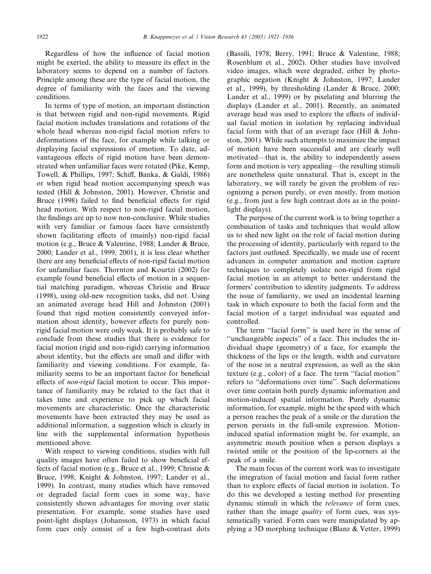Regardless of how the influence of facial motion might be exerted, the ability to measure its effect in the laboratory seems to depend on a number of factors. Principle among these are the type of facial motion, the degree of familiarity with the faces and the viewing conditions.

In terms of type of motion, an important distinction is that between rigid and non-rigid movements. Rigid facial motion includes translations and rotations of the whole head whereas non-rigid facial motion refers to deformations of the face, for example while talking or displaying facial expressions of emotion. To date, advantageous effects of rigid motion have been demonstrated when unfamiliar faces were rotated (Pike, Kemp, Towell, & Phillips, 1997; Schiff, Banka, & Galdi, 1986) or when rigid head motion accompanying speech was tested (Hill & Johnston, 2001). However, Christie and Bruce (1998) failed to find beneficial effects for rigid head motion. With respect to non-rigid facial motion, the findings are up to now non-conclusive. While studies with very familiar or famous faces have consistently shown facilitating effects of (mainly) non-rigid facial motion (e.g., Bruce & Valentine, 1988; Lander & Bruce, 2000; Lander et al., 1999, 2001), it is less clear whether there are any beneficial effects of non-rigid facial motion for unfamiliar faces. Thornton and Kourtzi (2002) for example found beneficial effects of motion in a sequential matching paradigm, whereas Christie and Bruce (1998), using old-new recognition tasks, did not. Using an animated average head Hill and Johnston (2001) found that rigid motion consistently conveyed information about identity, however effects for purely nonrigid facial motion were only weak. It is probably safe to conclude from these studies that there is evidence for facial motion (rigid and non-rigid) carrying information about identity, but the effects are small and differ with familiarity and viewing conditions. For example, familiarity seems to be an important factor for beneficial effects of non-rigid facial motion to occur. This importance of familiarity may be related to the fact that it takes time and experience to pick up which facial movements are characteristic. Once the characteristic movements have been extracted they may be used as additional information, a suggestion which is clearly in line with the supplemental information hypothesis mentioned above.

With respect to viewing conditions, studies with full quality images have often failed to show beneficial effects of facial motion (e.g., Bruce et al., 1999; Christie & Bruce, 1998; Knight & Johnston, 1997; Lander et al., 1999). In contrast, many studies which have removed or degraded facial form cues in some way, have consistently shown advantages for moving over static presentation. For example, some studies have used point-light displays (Johansson, 1973) in which facial form cues only consist of a few high-contrast dots (Bassili, 1978; Berry, 1991; Bruce & Valentine, 1988; Rosenblum et al., 2002). Other studies have involved video images, which were degraded, either by photographic negation (Knight & Johnston, 1997; Lander et al., 1999), by thresholding (Lander & Bruce, 2000; Lander et al., 1999) or by pixelating and blurring the displays (Lander et al., 2001). Recently, an animated average head was used to explore the effects of individual facial motion in isolation by replacing individual facial form with that of an average face (Hill & Johnston, 2001). While such attempts to maximize the impact of motion have been successful and are clearly well motivated––that is, the ability to independently assess form and motion is very appealing––the resulting stimuli are nonetheless quite unnatural. That is, except in the laboratory, we will rarely be given the problem of recognizing a person purely, or even mostly, from motion (e.g., from just a few high contrast dots as in the pointlight displays).

The purpose of the current work is to bring together a combination of tasks and techniques that would allow us to shed new light on the role of facial motion during the processing of identity, particularly with regard to the factors just outlined. Specifically, we made use of recent advances in computer animation and motion capture techniques to completely isolate non-rigid from rigid facial motion in an attempt to better understand the formers' contribution to identity judgments. To address the issue of familiarity, we used an incidental learning task in which exposure to both the facial form and the facial motion of a target individual was equated and controlled.

The term "facial form" is used here in the sense of ''unchangeable aspects'' of a face. This includes the individual shape (geometry) of a face, for example the thickness of the lips or the length, width and curvature of the nose in a neutral expression, as well as the skin texture (e.g., color) of a face. The term ''facial motion'' refers to ''deformations over time''. Such deformations over time contain both purely dynamic information and motion-induced spatial information. Purely dynamic information, for example, might be the speed with which a person reaches the peak of a smile or the duration the person persists in the full-smile expression. Motioninduced spatial information might be, for example, an asymmetric mouth position when a person displays a twisted smile or the position of the lip-corners at the peak of a smile.

The main focus of the current work was to investigate the integration of facial motion and facial form rather than to explore effects of facial motion in isolation. To do this we developed a testing method for presenting dynamic stimuli in which the relevance of form cues, rather than the image *quality* of form cues, was systematically varied. Form cues were manipulated by applying a 3D morphing technique (Blanz & Vetter, 1999)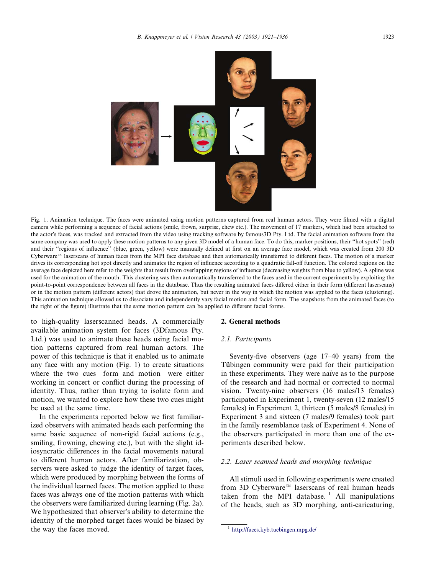

Fig. 1. Animation technique. The faces were animated using motion patterns captured from real human actors. They were filmed with a digital camera while performing a sequence of facial actions (smile, frown, surprise, chew etc.). The movement of 17 markers, which had been attached to the actor's faces, was tracked and extracted from the video using tracking software by famous3D Pty. Ltd. The facial animation software from the same company was used to apply these motion patterns to any given 3D model of a human face. To do this, marker positions, their ''hot spots'' (red) and their "regions of influence" (blue, green, yellow) were manually defined at first on an average face model, which was created from 200 3D  $Cyberware<sup>TM</sup>$  laserscans of human faces from the MPI face database and then automatically transferred to different faces. The motion of a marker drives its corresponding hot spot directly and animates the region of influence according to a quadratic fall-off function. The colored regions on the average face depicted here refer to the weights that result from overlapping regions of influence (decreasing weights from blue to yellow). A spline was used for the animation of the mouth. This clustering was then automatically transferred to the faces used in the current experiments by exploiting the point-to-point correspondence between all faces in the database. Thus the resulting animated faces differed either in their form (different laserscans) or in the motion pattern (different actors) that drove the animation, but never in the way in which the motion was applied to the faces (clustering). This animation technique allowed us to dissociate and independently vary facial motion and facial form. The snapshots from the animated faces (to the right of the figure) illustrate that the same motion pattern can be applied to different facial forms.

to high-quality laserscanned heads. A commercially available animation system for faces (3Dfamous Pty. Ltd.) was used to animate these heads using facial motion patterns captured from real human actors. The power of this technique is that it enabled us to animate any face with any motion (Fig. 1) to create situations where the two cues—form and motion—were either working in concert or conflict during the processing of identity. Thus, rather than trying to isolate form and motion, we wanted to explore how these two cues might be used at the same time.

In the experiments reported below we first familiarized observers with animated heads each performing the same basic sequence of non-rigid facial actions (e.g., smiling, frowning, chewing etc.), but with the slight idiosyncratic differences in the facial movements natural to different human actors. After familiarization, observers were asked to judge the identity of target faces, which were produced by morphing between the forms of the individual learned faces. The motion applied to these faces was always one of the motion patterns with which the observers were familiarized during learning (Fig. 2a). We hypothesized that observer's ability to determine the identity of the morphed target faces would be biased by the way the faces moved.

#### 2. General methods

# 2.1. Participants

Seventy-five observers (age 17–40 years) from the Tübingen community were paid for their participation in these experiments. They were naïve as to the purpose of the research and had normal or corrected to normal vision. Twenty-nine observers (16 males/13 females) participated in Experiment 1, twenty-seven (12males/15 females) in Experiment 2, thirteen (5 males/8 females) in Experiment 3 and sixteen (7 males/9 females) took part in the family resemblance task of Experiment 4. None of the observers participated in more than one of the experiments described below.

## 2.2. Laser scanned heads and morphing technique

All stimuli used in following experiments were created from 3D Cyberware<sup> $M$ </sup> laserscans of real human heads taken from the MPI database.<sup>1</sup> All manipulations of the heads, such as 3D morphing, anti-caricaturing,

<sup>1</sup> <http://faces.kyb.tuebingen.mpg.de/>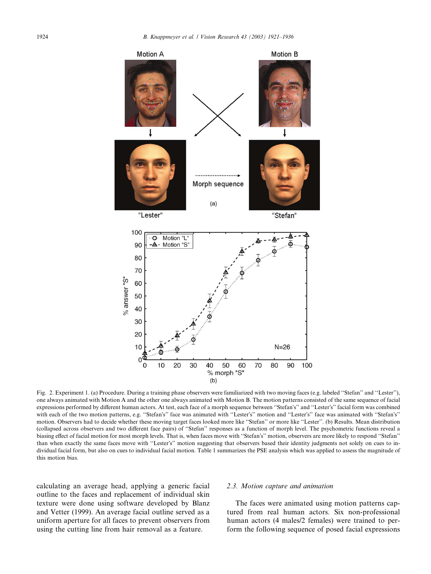

Fig. 2. Experiment 1. (a) Procedure. During a training phase observers were familiarized with two moving faces (e.g. labeled ''Stefan'' and ''Lester''), one always animated with Motion A and the other one always animated with Motion B. The motion patterns consisted of the same sequence of facial expressions performed by different human actors. At test, each face of a morph sequence between ''Stefans'' and ''Lesters'' facial form was combined with each of the two motion patterns, e.g. "Stefan's" face was animated with "Lester's" motion and "Lester's" face was animated with "Stefan's" motion. Observers had to decide whether these moving target faces looked more like ''Stefan'' or more like ''Lester''. (b) Results. Mean distribution (collapsed across observers and two different face pairs) of ''Stefan'' responses as a function of morph level. The psychometric functions reveal a biasing effect of facial motion for most morph levels. That is, when faces move with "Stefan's" motion, observers are more likely to respond "Stefan" than when exactly the same faces move with "Lester's" motion suggesting that observers based their identity judgments not solely on cues to individual facial form, but also on cues to individual facial motion. Table 1 summarizes the PSE analysis which was applied to assess the magnitude of this motion bias.

calculating an average head, applying a generic facial outline to the faces and replacement of individual skin texture were done using software developed by Blanz and Vetter (1999). An average facial outline served as a uniform aperture for all faces to prevent observers from using the cutting line from hair removal as a feature.

#### 2.3. Motion capture and animation

The faces were animated using motion patterns captured from real human actors. Six non-professional human actors (4 males/2 females) were trained to perform the following sequence of posed facial expressions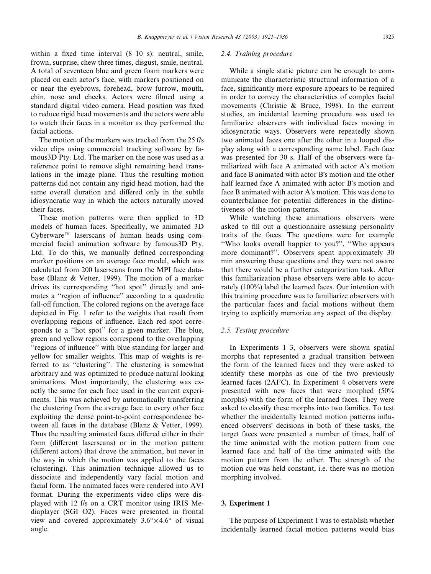within a fixed time interval  $(8-10 s)$ : neutral, smile, frown, surprise, chew three times, disgust, smile, neutral. A total of seventeen blue and green foam markers were placed on each actor's face, with markers positioned on or near the eyebrows, forehead, brow furrow, mouth, chin, nose and cheeks. Actors were filmed using a standard digital video camera. Head position was fixed to reduce rigid head movements and the actors were able to watch their faces in a monitor as they performed the facial actions.

The motion of the markers was tracked from the 25 f/s video clips using commercial tracking software by famous3D Pty. Ltd. The marker on the nose was used as a reference point to remove slight remaining head translations in the image plane. Thus the resulting motion patterns did not contain any rigid head motion, had the same overall duration and differed only in the subtle idiosyncratic way in which the actors naturally moved their faces.

These motion patterns were then applied to 3D models of human faces. Specifically, we animated 3D  $Cvberware^{m}$  laserscans of human heads using commercial facial animation software by famous3D Pty. Ltd. To do this, we manually defined corresponding marker positions on an average face model, which was calculated from 200 laserscans from the MPI face database (Blanz & Vetter, 1999). The motion of a marker drives its corresponding ''hot spot'' directly and animates a ''region of influence'' according to a quadratic fall-off function. The colored regions on the average face depicted in Fig. 1 refer to the weights that result from overlapping regions of influence. Each red spot corresponds to a ''hot spot'' for a given marker. The blue, green and yellow regions correspond to the overlapping ''regions of influence'' with blue standing for larger and yellow for smaller weights. This map of weights is referred to as ''clustering''. The clustering is somewhat arbitrary and was optimized to produce natural looking animations. Most importantly, the clustering was exactly the same for each face used in the current experiments. This was achieved by automatically transferring the clustering from the average face to every other face exploiting the dense point-to-point correspondence between all faces in the database (Blanz & Vetter, 1999). Thus the resulting animated faces differed either in their form (different laserscans) or in the motion pattern (different actors) that drove the animation, but never in the way in which the motion was applied to the faces (clustering). This animation technique allowed us to dissociate and independently vary facial motion and facial form. The animated faces were rendered into AVI format. During the experiments video clips were displayed with 12 f/s on a CRT monitor using IRIS Mediaplayer (SGI O2). Faces were presented in frontal view and covered approximately  $3.6^{\circ} \times 4.6^{\circ}$  of visual angle.

## 2.4. Training procedure

While a single static picture can be enough to communicate the characteristic structural information of a face, significantly more exposure appears to be required in order to convey the characteristics of complex facial movements (Christie & Bruce, 1998). In the current studies, an incidental learning procedure was used to familiarize observers with individual faces moving in idiosyncratic ways. Observers were repeatedly shown two animated faces one after the other in a looped display along with a corresponding name label. Each face was presented for 30 s. Half of the observers were familiarized with face  $A$  animated with actor  $A$ 's motion and face B animated with actor B's motion and the other half learned face A animated with actor B's motion and face B animated with actor A's motion. This was done to counterbalance for potential differences in the distinctiveness of the motion patterns.

While watching these animations observers were asked to fill out a questionnaire assessing personality traits of the faces. The questions were for example ''Who looks overall happier to you?'', ''Who appears more dominant?''. Observers spent approximately 30 min answering these questions and they were not aware that there would be a further categorization task. After this familiarization phase observers were able to accurately (100%) label the learned faces. Our intention with this training procedure was to familiarize observers with the particular faces and facial motions without them trying to explicitly memorize any aspect of the display.

#### 2.5. Testing procedure

In Experiments 1–3, observers were shown spatial morphs that represented a gradual transition between the form of the learned faces and they were asked to identify these morphs as one of the two previously learned faces (2AFC). In Experiment 4 observers were presented with new faces that were morphed (50% morphs) with the form of the learned faces. They were asked to classify these morphs into two families. To test whether the incidentally learned motion patterns influenced observers' decisions in both of these tasks, the target faces were presented a number of times, half of the time animated with the motion pattern from one learned face and half of the time animated with the motion pattern from the other. The strength of the motion cue was held constant, i.e. there was no motion morphing involved.

# 3. Experiment 1

The purpose of Experiment 1 was to establish whether incidentally learned facial motion patterns would bias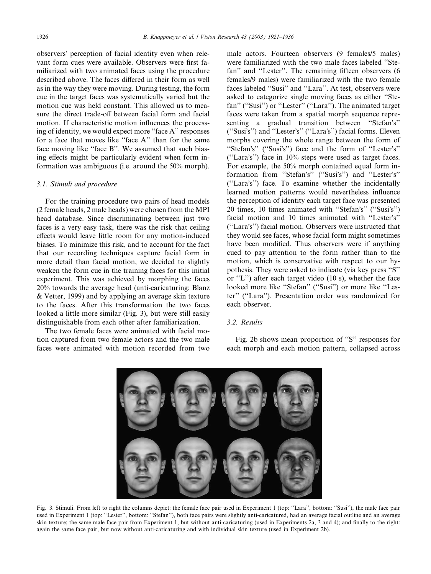observers' perception of facial identity even when relevant form cues were available. Observers were first familiarized with two animated faces using the procedure described above. The faces differed in their form as well as in the way they were moving. During testing, the form cue in the target faces was systematically varied but the motion cue was held constant. This allowed us to measure the direct trade-off between facial form and facial motion. If characteristic motion influences the processing of identity, we would expect more ''face A'' responses for a face that moves like ''face A'' than for the same face moving like "face B". We assumed that such biasing effects might be particularly evident when form information was ambiguous (i.e. around the 50% morph).

#### 3.1. Stimuli and procedure

For the training procedure two pairs of head models (2female heads, 2male heads) were chosen from the MPI head database. Since discriminating between just two faces is a very easy task, there was the risk that ceiling effects would leave little room for any motion-induced biases. To minimize this risk, and to account for the fact that our recording techniques capture facial form in more detail than facial motion, we decided to slightly weaken the form cue in the training faces for this initial experiment. This was achieved by morphing the faces 20% towards the average head (anti-caricaturing; Blanz & Vetter, 1999) and by applying an average skin texture to the faces. After this transformation the two faces looked a little more similar (Fig. 3), but were still easily distinguishable from each other after familiarization.

The two female faces were animated with facial motion captured from two female actors and the two male faces were animated with motion recorded from two

male actors. Fourteen observers (9 females/5 males) were familiarized with the two male faces labeled ''Stefan'' and ''Lester''. The remaining fifteen observers (6 females/9 males) were familiarized with the two female faces labeled ''Susi'' and ''Lara''. At test, observers were asked to categorize single moving faces as either ''Stefan" ("Susi") or "Lester" ("Lara"). The animated target faces were taken from a spatial morph sequence representing a gradual transition between "Stefan's" (''Susis'') and ''Lesters'' (''Laras'') facial forms. Eleven morphs covering the whole range between the form of "Stefan's" ("Susi's") face and the form of "Lester's" ("Lara's") face in  $10\%$  steps were used as target faces. For example, the 50% morph contained equal form information from "Stefan's" ("Susi's") and "Lester's" ("Lara's") face. To examine whether the incidentally learned motion patterns would nevertheless influence the perception of identity each target face was presented 20 times, 10 times animated with "Stefan's" ("Susi's") facial motion and 10 times animated with "Lester's" (''Laras'') facial motion. Observers were instructed that they would see faces, whose facial form might sometimes have been modified. Thus observers were if anything cued to pay attention to the form rather than to the motion, which is conservative with respect to our hypothesis. They were asked to indicate (via key press ''S'' or ''L'') after each target video (10 s), whether the face looked more like ''Stefan'' (''Susi'') or more like ''Lester'' (''Lara''). Presentation order was randomized for each observer.

# 3.2. Results

Fig. 2b shows mean proportion of ''S'' responses for each morph and each motion pattern, collapsed across



Fig. 3. Stimuli. From left to right the columns depict: the female face pair used in Experiment 1 (top: ''Lara'', bottom: ''Susi''), the male face pair used in Experiment 1 (top: ''Lester'', bottom: ''Stefan''), both face pairs were slightly anti-caricatured, had an average facial outline and an average skin texture; the same male face pair from Experiment 1, but without anti-caricaturing (used in Experiments 2a, 3 and 4); and finally to the right: again the same face pair, but now without anti-caricaturing and with individual skin texture (used in Experiment 2b).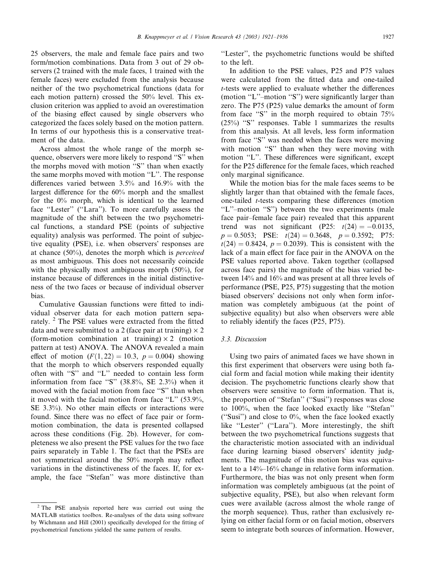25 observers, the male and female face pairs and two form/motion combinations. Data from 3 out of 29 observers (2 trained with the male faces, 1 trained with the female faces) were excluded from the analysis because neither of the two psychometrical functions (data for each motion pattern) crossed the 50% level. This exclusion criterion was applied to avoid an overestimation of the biasing effect caused by single observers who categorized the faces solely based on the motion pattern. In terms of our hypothesis this is a conservative treatment of the data.

Across almost the whole range of the morph sequence, observers were more likely to respond ''S'' when the morphs moved with motion ''S'' than when exactly the same morphs moved with motion ''L''. The response differences varied between 3.5% and 16.9% with the largest difference for the 60% morph and the smallest for the 0% morph, which is identical to the learned face ''Lester'' (''Lara''). To more carefully assess the magnitude of the shift between the two psychometrical functions, a standard PSE (points of subjective equality) analysis was performed. The point of subjective equality (PSE), i.e. when observers' responses are at chance (50%), denotes the morph which is perceived as most ambiguous. This does not necessarily coincide with the physically most ambiguous morph (50%), for instance because of differences in the initial distinctiveness of the two faces or because of individual observer bias.

Cumulative Gaussian functions were fitted to individual observer data for each motion pattern separately. <sup>2</sup> The PSE values were extracted from the fitted data and were submitted to a 2 (face pair at training)  $\times$  2 (form-motion combination at training)  $\times$  2 (motion pattern at test) ANOVA. The ANOVA revealed a main effect of motion  $(F(1, 22) = 10.3, p = 0.004)$  showing that the morph to which observers responded equally often with ''S'' and ''L'' needed to contain less form information from face ''S'' (38.8%, SE 2.3%) when it moved with the facial motion from face ''S'' than when it moved with the facial motion from face "L"  $(53.9\%,$ SE 3.3%). No other main effects or interactions were found. Since there was no effect of face pair or formmotion combination, the data is presented collapsed across these conditions (Fig. 2b). However, for completeness we also present the PSE values for the two face pairs separately in Table 1. The fact that the PSEs are not symmetrical around the 50% morph may reflect variations in the distinctiveness of the faces. If, for example, the face ''Stefan'' was more distinctive than

''Lester'', the psychometric functions would be shifted to the left.

In addition to the PSE values, P25 and P75 values were calculated from the fitted data and one-tailed t-tests were applied to evaluate whether the differences (motion ''L''–motion ''S'') were significantly larger than zero. The P75 (P25) value demarks the amount of form from face "S" in the morph required to obtain  $75%$ (25%) ''S'' responses. Table 1 summarizes the results from this analysis. At all levels, less form information from face ''S'' was needed when the faces were moving with motion "S" than when they were moving with motion ''L''. These differences were significant, except for the P25 difference for the female faces, which reached only marginal significance.

While the motion bias for the male faces seems to be slightly larger than that obtained with the female faces, one-tailed t-tests comparing these differences (motion ''L''–motion ''S'') between the two experiments (male face pair–female face pair) revealed that this apparent trend was not significant (P25:  $t(24) = -0.0135$ ,  $p = 0.5053$ ; PSE:  $t(24) = 0.3648$ ,  $p = 0.3592$ ; P75:  $t(24) = 0.8424$ ,  $p = 0.2039$ . This is consistent with the lack of a main effect for face pair in the ANOVA on the PSE values reported above. Taken together (collapsed across face pairs) the magnitude of the bias varied between 14% and 16% and was present at all three levels of performance (PSE, P25, P75) suggesting that the motion biased observers' decisions not only when form information was completely ambiguous (at the point of subjective equality) but also when observers were able to reliably identify the faces (P25, P75).

## 3.3. Discussion

Using two pairs of animated faces we have shown in this first experiment that observers were using both facial form and facial motion while making their identity decision. The psychometric functions clearly show that observers were sensitive to form information. That is, the proportion of ''Stefan'' (''Susi'') responses was close to 100%, when the face looked exactly like ''Stefan'' ("Susi") and close to  $0\%$ , when the face looked exactly like "Lester" ("Lara"). More interestingly, the shift between the two psychometrical functions suggests that the characteristic motion associated with an individual face during learning biased observers' identity judgments. The magnitude of this motion bias was equivalent to a 14%–16% change in relative form information. Furthermore, the bias was not only present when form information was completely ambiguous (at the point of subjective equality, PSE), but also when relevant form cues were available (across almost the whole range of the morph sequence). Thus, rather than exclusively relying on either facial form or on facial motion, observers seem to integrate both sources of information. However,

<sup>&</sup>lt;sup>2</sup> The PSE analysis reported here was carried out using the MATLAB statistics toolbox. Re-analyses of the data using software by Wichmann and Hill (2001) specifically developed for the fitting of psychometrical functions yielded the same pattern of results.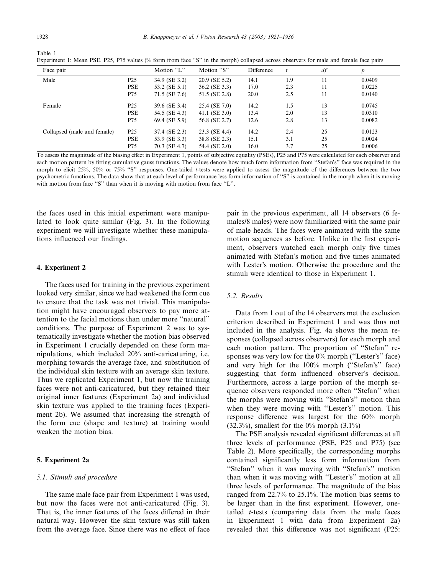Table 1

Experiment 1: Mean PSE, P25, P75 values (% form from face "S" in the morph) collapsed across observers for male and female face pairs

| Face pair                   |                 | Motion "L"    | Motion "S"       | Difference |     | df |        |
|-----------------------------|-----------------|---------------|------------------|------------|-----|----|--------|
| Male                        | P <sub>25</sub> | 34.9 (SE 3.2) | 20.9 (SE 5.2)    | 14.1       | 1.9 | 11 | 0.0409 |
|                             | <b>PSE</b>      | 53.2 (SE 5.1) | 36.2 (SE 3.3)    | 17.0       | 2.3 | 11 | 0.0225 |
|                             | P75             | 71.5 (SE 7.6) | 51.5 (SE 2.8)    | 20.0       | 2.5 | 11 | 0.0140 |
| Female                      | P <sub>25</sub> | 39.6 (SE 3.4) | 25.4 (SE 7.0)    | 14.2       | 1.5 | 13 | 0.0745 |
|                             | <b>PSE</b>      | 54.5 (SE 4.3) | 41.1 (SE $3.0$ ) | 13.4       | 2.0 | 13 | 0.0310 |
|                             | P75             | 69.4 (SE 5.9) | 56.8 (SE 2.7)    | 12.6       | 2.8 | 13 | 0.0082 |
| Collapsed (male and female) | P <sub>25</sub> | 37.4 (SE 2.3) | 23.3 (SE 4.4)    | 14.2       | 2.4 | 25 | 0.0123 |
|                             | <b>PSE</b>      | 53.9 (SE 3.3) | 38.8 (SE 2.3)    | 15.1       | 3.1 | 25 | 0.0024 |
|                             | P75             | 70.3 (SE 4.7) | 54.4 (SE 2.0)    | 16.0       | 3.7 | 25 | 0.0006 |

To assess the magnitude of the biasing effect in Experiment 1, points of subjective equality (PSEs), P25 and P75 were calculated for each observer and each motion pattern by fitting cumulative gauss functions. The values denote how much form information from "Stefan's" face was required in the morph to elicit 25%, 50% or 75% "S" responses. One-tailed t-tests were applied to assess the magnitude of the differences between the two psychometric functions. The data show that at each level of performance less form information of ''S'' is contained in the morph when it is moving with motion from face "S" than when it is moving with motion from face "L".

the faces used in this initial experiment were manipulated to look quite similar (Fig. 3). In the following experiment we will investigate whether these manipulations influenced our findings.

## 4. Experiment 2

The faces used for training in the previous experiment looked very similar, since we had weakened the form cue to ensure that the task was not trivial. This manipulation might have encouraged observers to pay more attention to the facial motions than under more ''natural'' conditions. The purpose of Experiment 2 was to systematically investigate whether the motion bias observed in Experiment 1 crucially depended on these form manipulations, which included 20% anti-caricaturing, i.e. morphing towards the average face, and substitution of the individual skin texture with an average skin texture. Thus we replicated Experiment 1, but now the training faces were not anti-caricatured, but they retained their original inner features (Experiment 2a) and individual skin texture was applied to the training faces (Experiment 2b). We assumed that increasing the strength of the form cue (shape and texture) at training would weaken the motion bias.

## 5. Experiment 2a

#### 5.1. Stimuli and procedure

The same male face pair from Experiment 1 was used, but now the faces were not anti-caricatured (Fig. 3). That is, the inner features of the faces differed in their natural way. However the skin texture was still taken from the average face. Since there was no effect of face pair in the previous experiment, all 14 observers (6 females/8 males) were now familiarized with the same pair of male heads. The faces were animated with the same motion sequences as before. Unlike in the first experiment, observers watched each morph only five times animated with Stefan's motion and five times animated with Lester's motion. Otherwise the procedure and the stimuli were identical to those in Experiment 1.

## 5.2. Results

Data from 1 out of the 14 observers met the exclusion criterion described in Experiment 1 and was thus not included in the analysis. Fig. 4a shows the mean responses (collapsed across observers) for each morph and each motion pattern. The proportion of ''Stefan'' responses was very low for the 0% morph ("Lester's" face) and very high for the 100% morph ("Stefan's" face) suggesting that form influenced observer's decision. Furthermore, across a large portion of the morph sequence observers responded more often ''Stefan'' when the morphs were moving with "Stefan's" motion than when they were moving with "Lester's" motion. This response difference was largest for the 60% morph  $(32.3\%)$ , smallest for the 0% morph  $(3.1\%)$ 

The PSE analysis revealed significant differences at all three levels of performance (PSE, P25 and P75) (see Table 2). More specifically, the corresponding morphs contained significantly less form information from "Stefan" when it was moving with "Stefan's" motion than when it was moving with "Lester's" motion at all three levels of performance. The magnitude of the bias ranged from 22.7% to 25.1%. The motion bias seems to be larger than in the first experiment. However, onetailed  $t$ -tests (comparing data from the male faces in Experiment 1 with data from Experiment 2a) revealed that this difference was not significant (P25: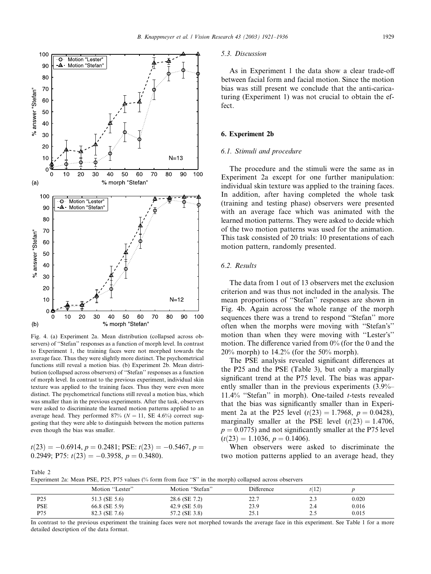

Fig. 4. (a) Experiment 2a. Mean distribution (collapsed across observers) of ''Stefan'' responses as a function of morph level. In contrast to Experiment 1, the training faces were not morphed towards the average face. Thus they were slightly more distinct. The psychometrical functions still reveal a motion bias. (b) Experiment 2b. Mean distribution (collapsed across observers) of ''Stefan'' responses as a function of morph level. In contrast to the previous experiment, individual skin texture was applied to the training faces. Thus they were even more distinct. The psychometrical functions still reveal a motion bias, which was smaller than in the previous experiments. After the task, observers were asked to discriminate the learned motion patterns applied to an average head. They performed 87% ( $N = 11$ , SE 4.6%) correct suggesting that they were able to distinguish between the motion patterns even though the bias was smaller.

 $t(23) = -0.6914$ ,  $p = 0.2481$ ; PSE:  $t(23) = -0.5467$ ,  $p =$ 0.2949; P75:  $t(23) = -0.3958$ ,  $p = 0.3480$ ).

Table 2

## 5.3. Discussion

As in Experiment 1 the data show a clear trade-off between facial form and facial motion. Since the motion bias was still present we conclude that the anti-caricaturing (Experiment 1) was not crucial to obtain the effect.

#### 6. Experiment 2b

### 6.1. Stimuli and procedure

The procedure and the stimuli were the same as in Experiment 2a except for one further manipulation: individual skin texture was applied to the training faces. In addition, after having completed the whole task (training and testing phase) observers were presented with an average face which was animated with the learned motion patterns. They were asked to decide which of the two motion patterns was used for the animation. This task consisted of 20 trials: 10 presentations of each motion pattern, randomly presented.

#### 6.2. Results

The data from 1 out of 13 observers met the exclusion criterion and was thus not included in the analysis. The mean proportions of ''Stefan'' responses are shown in Fig. 4b. Again across the whole range of the morph sequences there was a trend to respond ''Stefan'' more often when the morphs were moving with "Stefan's" motion than when they were moving with "Lester's" motion. The difference varied from 0% (for the 0 and the 20% morph) to 14.2% (for the 50% morph).

The PSE analysis revealed significant differences at the P25 and the PSE (Table 3), but only a marginally significant trend at the P75 level. The bias was apparently smaller than in the previous experiments (3.9%– 11.4% ''Stefan'' in morph). One-tailed t-tests revealed that the bias was significantly smaller than in Experiment 2a at the P25 level  $(t(23) = 1.7968, p = 0.0428)$ , marginally smaller at the PSE level  $(t(23) = 1.4706$ ,  $p = 0.0775$ ) and not significantly smaller at the P75 level  $(t(23) = 1.1036, p = 0.1406).$ 

When observers were asked to discriminate the two motion patterns applied to an average head, they

|  |  |  |  |  |  |  |  | Experiment 2a: Mean PSE, P25, P75 values (% form from face "S" in the morph) collapsed across observers |  |
|--|--|--|--|--|--|--|--|---------------------------------------------------------------------------------------------------------|--|
|  |  |  |  |  |  |  |  |                                                                                                         |  |

|                 | Motion "Lester" | Motion "Stefan"  | Difference | t(12)           |       |  |
|-----------------|-----------------|------------------|------------|-----------------|-------|--|
| P <sub>25</sub> | 51.3 (SE 5.6)   | 28.6 (SE 7.2)    | 22.7       | 2.3             | 0.020 |  |
| PSE             | 66.8 (SE 5.9)   | 42.9 (SE $5.0$ ) | 23.9       | 2.4             | 0.016 |  |
| P75             | 82.3 (SE 7.6)   | 57.2 (SE 3.8)    | 25.1       | $\gamma$<br>ن ک | 0.015 |  |

In contrast to the previous experiment the training faces were not morphed towards the average face in this experiment. See Table 1 for a more detailed description of the data format.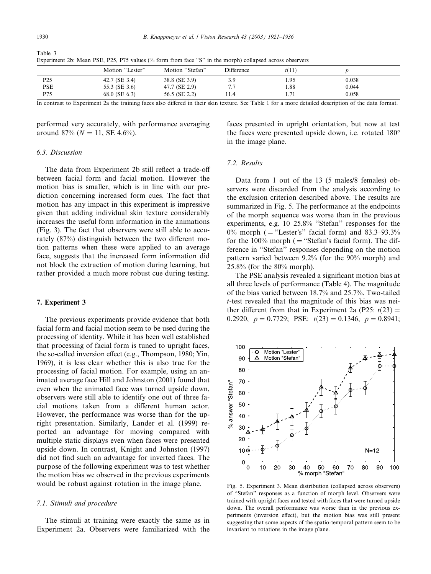Table 3

|     | Motion "Lester" | Motion "Stefan" | Difference | t(11)   |       |  |
|-----|-----------------|-----------------|------------|---------|-------|--|
| P25 | 42.7 (SE 3.4)   | 38.8 (SE 3.9)   | 3.9        | 1.95    | 0.038 |  |
| PSE | 55.3 (SE 3.6)   | 47.7 (SE 2.9)   | 77         | . .88   | 0.044 |  |
| P75 | 68.0 (SE 6.3)   | 56.5 (SE 2.2)   | 11.4       | 71<br>. | 0.058 |  |

Experiment 2b: Mean PSE, P25, P75 values (% form from face "S" in the morph) collapsed across observers

In contrast to Experiment 2a the training faces also differed in their skin texture. See Table 1 for a more detailed description of the data format.

performed very accurately, with performance averaging around 87% ( $N = 11$ , SE 4.6%).

#### 6.3. Discussion

The data from Experiment 2b still reflect a trade-off between facial form and facial motion. However the motion bias is smaller, which is in line with our prediction concerning increased form cues. The fact that motion has any impact in this experiment is impressive given that adding individual skin texture considerably increases the useful form information in the animations (Fig. 3). The fact that observers were still able to accurately (87%) distinguish between the two different motion patterns when these were applied to an average face, suggests that the increased form information did not block the extraction of motion during learning, but rather provided a much more robust cue during testing.

## 7. Experiment 3

The previous experiments provide evidence that both facial form and facial motion seem to be used during the processing of identity. While it has been well established that processing of facial form is tuned to upright faces, the so-called inversion effect (e.g., Thompson, 1980; Yin, 1969), it is less clear whether this is also true for the processing of facial motion. For example, using an animated average face Hill and Johnston (2001) found that even when the animated face was turned upside down, observers were still able to identify one out of three facial motions taken from a different human actor. However, the performance was worse than for the upright presentation. Similarly, Lander et al. (1999) reported an advantage for moving compared with multiple static displays even when faces were presented upside down. In contrast, Knight and Johnston (1997) did not find such an advantage for inverted faces. The purpose of the following experiment was to test whether the motion bias we observed in the previous experiments would be robust against rotation in the image plane.

## 7.1. Stimuli and procedure

The stimuli at training were exactly the same as in Experiment 2a. Observers were familiarized with the faces presented in upright orientation, but now at test the faces were presented upside down, i.e. rotated 180° in the image plane.

## 7.2. Results

Data from 1 out of the 13 (5 males/8 females) observers were discarded from the analysis according to the exclusion criterion described above. The results are summarized in Fig. 5. The performance at the endpoints of the morph sequence was worse than in the previous experiments, e.g. 10–25.8% ''Stefan'' responses for the  $0\%$  morph (= "Lester's" facial form) and 83.3–93.3% for the  $100\%$  morph (= "Stefan's facial form). The difference in ''Stefan'' responses depending on the motion pattern varied between 9.2% (for the 90% morph) and 25.8% (for the 80% morph).

The PSE analysis revealed a significant motion bias at all three levels of performance (Table 4). The magnitude of the bias varied between 18.7% and 25.7%. Two-tailed t-test revealed that the magnitude of this bias was neither different from that in Experiment 2a (P25:  $t(23) =$ 0.2920,  $p = 0.7729$ ; PSE:  $t(23) = 0.1346$ ,  $p = 0.8941$ ;



Fig. 5. Experiment 3. Mean distribution (collapsed across observers) of ''Stefan'' responses as a function of morph level. Observers were trained with upright faces and tested with faces that were turned upside down. The overall performance was worse than in the previous experiments (inversion effect), but the motion bias was still present suggesting that some aspects of the spatio-temporal pattern seem to be invariant to rotations in the image plane.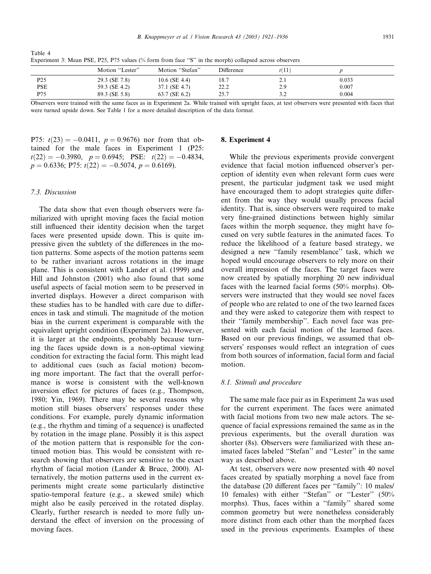Table 4 Experiment 3: Mean PSE, P25, P75 values (% form from face "S" in the morph) collapsed across observers

|                 | Motion "Lester" | Motion "Stefan" | Difference   | t(11)               |       |
|-----------------|-----------------|-----------------|--------------|---------------------|-------|
| P <sub>25</sub> | 29.3 (SE 7.8)   | $10.6$ (SE 4.4) | 18.7         | 2.1                 | 0.033 |
| <b>PSE</b>      | 59.3 (SE 4.2)   | 37.1 (SE 4.7)   | າາ າ<br>∠∠.∠ | 2.9                 | 0.007 |
| P75             | 89.3 (SE 5.8)   | 63.7 (SE 6.2)   | 25.7         | າ າ<br>. . <u>.</u> | 0.004 |

Observers were trained with the same faces as in Experiment 2a. While trained with upright faces, at test observers were presented with faces that were turned upside down. See Table 1 for a more detailed description of the data format.

P75:  $t(23) = -0.0411$ ,  $p = 0.9676$  nor from that obtained for the male faces in Experiment 1 (P25:  $t(22) = -0.3980$ ,  $p = 0.6945$ ; PSE:  $t(22) = -0.4834$ ,  $p = 0.6336$ ; P75:  $t(22) = -0.5074$ ,  $p = 0.6169$ ).

## 7.3. Discussion

The data show that even though observers were familiarized with upright moving faces the facial motion still influenced their identity decision when the target faces were presented upside down. This is quite impressive given the subtlety of the differences in the motion patterns. Some aspects of the motion patterns seem to be rather invariant across rotations in the image plane. This is consistent with Lander et al. (1999) and Hill and Johnston (2001) who also found that some useful aspects of facial motion seem to be preserved in inverted displays. However a direct comparison with these studies has to be handled with care due to differences in task and stimuli. The magnitude of the motion bias in the current experiment is comparable with the equivalent upright condition (Experiment 2a). However, it is larger at the endpoints, probably because turning the faces upside down is a non-optimal viewing condition for extracting the facial form. This might lead to additional cues (such as facial motion) becoming more important. The fact that the overall performance is worse is consistent with the well-known inversion effect for pictures of faces (e.g., Thompson, 1980; Yin, 1969). There may be several reasons why motion still biases observers' responses under these conditions. For example, purely dynamic information (e.g., the rhythm and timing of a sequence) is unaffected by rotation in the image plane. Possibly it is this aspect of the motion pattern that is responsible for the continued motion bias. This would be consistent with research showing that observers are sensitive to the exact rhythm of facial motion (Lander & Bruce, 2000). Alternatively, the motion patterns used in the current experiments might create some particularly distinctive spatio-temporal feature (e.g., a skewed smile) which might also be easily perceived in the rotated display. Clearly, further research is needed to more fully understand the effect of inversion on the processing of moving faces.

### 8. Experiment 4

While the previous experiments provide convergent evidence that facial motion influenced observer's perception of identity even when relevant form cues were present, the particular judgment task we used might have encouraged them to adopt strategies quite different from the way they would usually process facial identity. That is, since observers were required to make very fine-grained distinctions between highly similar faces within the morph sequence, they might have focused on very subtle features in the animated faces. To reduce the likelihood of a feature based strategy, we designed a new ''family resemblance'' task, which we hoped would encourage observers to rely more on their overall impression of the faces. The target faces were now created by spatially morphing 20 new individual faces with the learned facial forms (50% morphs). Observers were instructed that they would see novel faces of people who are related to one of the two learned faces and they were asked to categorize them with respect to their ''family membership''. Each novel face was presented with each facial motion of the learned faces. Based on our previous findings, we assumed that observers' responses would reflect an integration of cues from both sources of information, facial form and facial motion.

## 8.1. Stimuli and procedure

The same male face pair as in Experiment 2a was used for the current experiment. The faces were animated with facial motions from two new male actors. The sequence of facial expressions remained the same as in the previous experiments, but the overall duration was shorter (8s). Observers were familiarized with these animated faces labeled ''Stefan'' and ''Lester'' in the same way as described above.

At test, observers were now presented with 40 novel faces created by spatially morphing a novel face from the database (20 different faces per ''family'': 10 males/ 10 females) with either ''Stefan'' or ''Lester'' (50% morphs). Thus, faces within a "family" shared some common geometry but were nonetheless considerably more distinct from each other than the morphed faces used in the previous experiments. Examples of these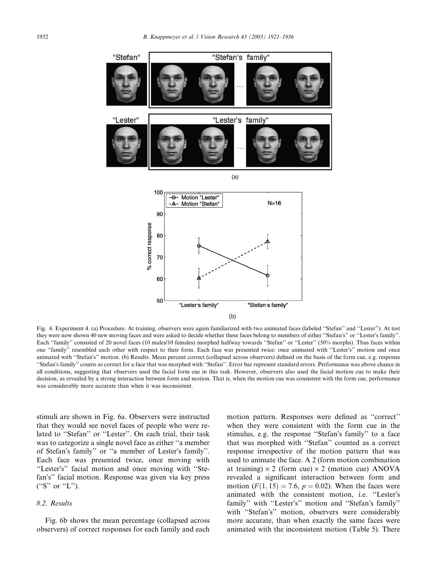

Fig. 6. Experiment 4. (a) Procedure. At training, observers were again familiarized with two animated faces (labeled ''Stefan'' and ''Lester''). At test they were now shown 40 new moving faces and were asked to decide whether these faces belong to members of either "Stefan's" or "Lester's family". Each "family" consisted of 20 novel faces (10 males/10 females) morphed halfway towards "Stefan" or "Lester" (50% morphs). Thus faces within one ''family'' resembled each other with respect to their form. Each face was presented twice: once animated with ''Lesters'' motion and once animated with "Stefan's" motion. (b) Results. Mean percent correct (collapsed across observers) defined on the basis of the form cue, e.g. response ''Stefans family'' counts as correct for a face that was morphed with ''Stefan''. Error bar represent standard errors. Performance was above chance in all conditions, suggesting that observers used the facial form cue in this task. However, observers also used the facial motion cue to make their decision, as revealed by a strong interaction between form and motion. That is, when the motion cue was consistent with the form cue, performance was considerably more accurate than when it was inconsistent.

stimuli are shown in Fig. 6a. Observers were instructed that they would see novel faces of people who were related to ''Stefan'' or ''Lester''. On each trial, their task was to categorize a single novel face as either ''a member of Stefan's family" or "a member of Lester's family". Each face was presented twice, once moving with "Lester's" facial motion and once moving with "Stefan's" facial motion. Response was given via key press  $("S" or "L").$ 

# 8.2. Results

Fig. 6b shows the mean percentage (collapsed across observers) of correct responses for each family and each

motion pattern. Responses were defined as ''correct'' when they were consistent with the form cue in the stimulus, e.g. the response "Stefan's family" to a face that was morphed with ''Stefan'' counted as a correct response irrespective of the motion pattern that was used to animate the face. A 2(form motion combination at training)  $\times$  2 (form cue)  $\times$  2 (motion cue) ANOVA revealed a significant interaction between form and motion  $(F(1, 15) = 7.6, p = 0.02)$ . When the faces were animated with the consistent motion, i.e. "Lester's family" with "Lester's" motion and "Stefan's family" with "Stefan's" motion, observers were considerably more accurate, than when exactly the same faces were animated with the inconsistent motion (Table 5). There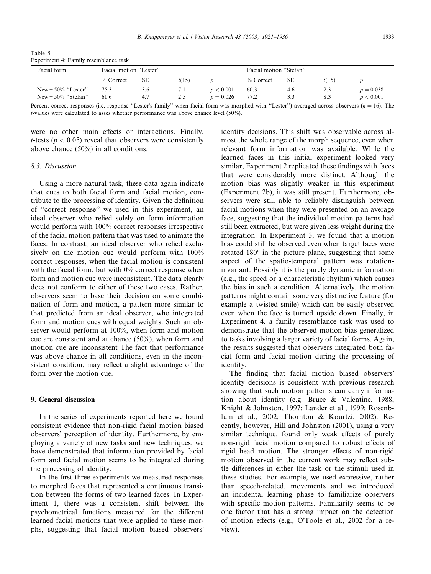Table 5 Experiment 4: Family resemblance task

| Facial form          | Facial motion "Lester" |     |       |             | Facial motion "Stefan" |     |       |                             |  |
|----------------------|------------------------|-----|-------|-------------|------------------------|-----|-------|-----------------------------|--|
|                      | $%$ Correct            | SЕ  | t(15) |             | $%$ Correct            | SЕ  | t(15) |                             |  |
| New $+50\%$ "Lester" | 75.3                   | 3.0 | ٠.    | p < 0.001   | 60.3                   | 4.6 | 2.3   | $p = 0.038$                 |  |
| New $+50\%$ "Stefan" | 61.6                   | 4.  | 2.5   | $p = 0.026$ |                        |     | 8.3   | p < 0.001                   |  |
|                      | $\sim$                 |     |       |             |                        |     |       | a comment of the comment of |  |

Percent correct responses (i.e. response "Lester's family" when facial form was morphed with "Lester") averaged across observers ( $n = 16$ ). The t-values were calculated to asses whether performance was above chance level (50%).

were no other main effects or interactions. Finally, *t*-tests ( $p < 0.05$ ) reveal that observers were consistently above chance (50%) in all conditions.

## 8.3. Discussion

Using a more natural task, these data again indicate that cues to both facial form and facial motion, contribute to the processing of identity. Given the definition of ''correct response'' we used in this experiment, an ideal observer who relied solely on form information would perform with 100% correct responses irrespective of the facial motion pattern that was used to animate the faces. In contrast, an ideal observer who relied exclusively on the motion cue would perform with 100% correct responses, when the facial motion is consistent with the facial form, but with  $0\%$  correct response when form and motion cue were inconsistent. The data clearly does not conform to either of these two cases. Rather, observers seem to base their decision on some combination of form and motion, a pattern more similar to that predicted from an ideal observer, who integrated form and motion cues with equal weights. Such an observer would perform at 100%, when form and motion cue are consistent and at chance (50%), when form and motion cue are inconsistent The fact that performance was above chance in all conditions, even in the inconsistent condition, may reflect a slight advantage of the form over the motion cue.

#### 9. General discussion

In the series of experiments reported here we found consistent evidence that non-rigid facial motion biased observers' perception of identity. Furthermore, by employing a variety of new tasks and new techniques, we have demonstrated that information provided by facial form and facial motion seems to be integrated during the processing of identity.

In the first three experiments we measured responses to morphed faces that represented a continuous transition between the forms of two learned faces. In Experiment 1, there was a consistent shift between the psychometrical functions measured for the different learned facial motions that were applied to these morphs, suggesting that facial motion biased observers

identity decisions. This shift was observable across almost the whole range of the morph sequence, even when relevant form information was available. While the learned faces in this initial experiment looked very similar, Experiment 2 replicated these findings with faces that were considerably more distinct. Although the motion bias was slightly weaker in this experiment (Experiment 2b), it was still present. Furthermore, observers were still able to reliably distinguish between facial motions when they were presented on an average face, suggesting that the individual motion patterns had still been extracted, but were given less weight during the integration. In Experiment 3, we found that a motion bias could still be observed even when target faces were rotated 180° in the picture plane, suggesting that some aspect of the spatio-temporal pattern was rotationinvariant. Possibly it is the purely dynamic information (e.g., the speed or a characteristic rhythm) which causes the bias in such a condition. Alternatively, the motion patterns might contain some very distinctive feature (for example a twisted smile) which can be easily observed even when the face is turned upside down. Finally, in Experiment 4, a family resemblance task was used to demonstrate that the observed motion bias generalized to tasks involving a larger variety of facial forms. Again, the results suggested that observers integrated both facial form and facial motion during the processing of identity.

The finding that facial motion biased observers identity decisions is consistent with previous research showing that such motion patterns can carry information about identity (e.g. Bruce & Valentine, 1988; Knight & Johnston, 1997; Lander et al., 1999; Rosenblum et al., 2002; Thornton & Kourtzi, 2002). Recently, however, Hill and Johnston (2001), using a very similar technique, found only weak effects of purely non-rigid facial motion compared to robust effects of rigid head motion. The stronger effects of non-rigid motion observed in the current work may reflect subtle differences in either the task or the stimuli used in these studies. For example, we used expressive, rather than speech-related, movements and we introduced an incidental learning phase to familiarize observers with specific motion patterns. Familiarity seems to be one factor that has a strong impact on the detection of motion effects (e.g., OToole et al., 2002 for a review).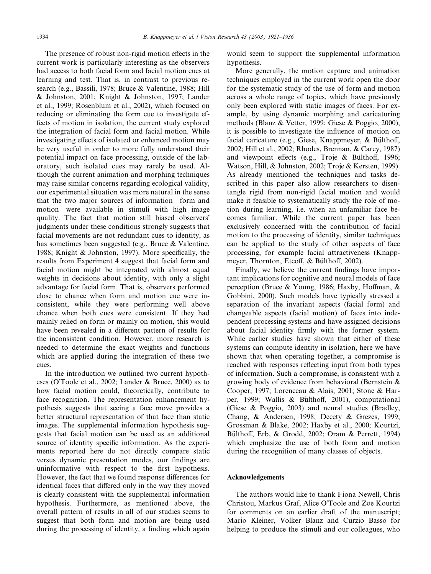The presence of robust non-rigid motion effects in the current work is particularly interesting as the observers had access to both facial form and facial motion cues at learning and test. That is, in contrast to previous research (e.g., Bassili, 1978; Bruce & Valentine, 1988; Hill & Johnston, 2001; Knight & Johnston, 1997; Lander et al., 1999; Rosenblum et al., 2002), which focused on reducing or eliminating the form cue to investigate effects of motion in isolation, the current study explored the integration of facial form and facial motion. While investigating effects of isolated or enhanced motion may be very useful in order to more fully understand their potential impact on face processing, outside of the laboratory, such isolated cues may rarely be used. Although the current animation and morphing techniques may raise similar concerns regarding ecological validity, our experimental situation was more natural in the sense that the two major sources of information––form and motion––were available in stimuli with high image quality. The fact that motion still biased observers judgments under these conditions strongly suggests that facial movements are not redundant cues to identity, as has sometimes been suggested (e.g., Bruce & Valentine, 1988; Knight & Johnston, 1997). More specifically, the results from Experiment 4 suggest that facial form and facial motion might be integrated with almost equal weights in decisions about identity, with only a slight advantage for facial form. That is, observers performed close to chance when form and motion cue were inconsistent, while they were performing well above chance when both cues were consistent. If they had mainly relied on form or mainly on motion, this would have been revealed in a different pattern of results for the inconsistent condition. However, more research is needed to determine the exact weights and functions which are applied during the integration of these two cues.

In the introduction we outlined two current hypotheses (OToole et al., 2002; Lander & Bruce, 2000) as to how facial motion could, theoretically, contribute to face recognition. The representation enhancement hypothesis suggests that seeing a face move provides a better structural representation of that face than static images. The supplemental information hypothesis suggests that facial motion can be used as an additional source of identity specific information. As the experiments reported here do not directly compare static versus dynamic presentation modes, our findings are uninformative with respect to the first hypothesis. However, the fact that we found response differences for identical faces that differed only in the way they moved is clearly consistent with the supplemental information hypothesis. Furthermore, as mentioned above, the overall pattern of results in all of our studies seems to suggest that both form and motion are being used during the processing of identity, a finding which again would seem to support the supplemental information hypothesis.

More generally, the motion capture and animation techniques employed in the current work open the door for the systematic study of the use of form and motion across a whole range of topics, which have previously only been explored with static images of faces. For example, by using dynamic morphing and caricaturing methods (Blanz & Vetter, 1999; Giese & Poggio, 2000), it is possible to investigate the influence of motion on facial caricature (e.g., Giese, Knappmeyer,  $&$  Bülthoff, 2002; Hill et al., 2002; Rhodes, Brennan, & Carey, 1987) and viewpoint effects (e.g., Troje  $&$  Bülthoff, 1996; Watson, Hill, & Johnston, 2002; Troje & Kersten, 1999). As already mentioned the techniques and tasks described in this paper also allow researchers to disentangle rigid from non-rigid facial motion and would make it feasible to systematically study the role of motion during learning, i.e. when an unfamiliar face becomes familiar. While the current paper has been exclusively concerned with the contribution of facial motion to the processing of identity, similar techniques can be applied to the study of other aspects of face processing, for example facial attractiveness (Knappmeyer, Thornton, Etcoff,  $&$  Bülthoff, 2002).

Finally, we believe the current findings have important implications for cognitive and neural models of face perception (Bruce & Young, 1986; Haxby, Hoffman, & Gobbini, 2000). Such models have typically stressed a separation of the invariant aspects (facial form) and changeable aspects (facial motion) of faces into independent processing systems and have assigned decisions about facial identity firmly with the former system. While earlier studies have shown that either of these systems can compute identity in isolation, here we have shown that when operating together, a compromise is reached with responses reflecting input from both types of information. Such a compromise, is consistent with a growing body of evidence from behavioral (Bernstein & Cooper, 1997; Lorenceau & Alais, 2001; Stone & Harper, 1999; Wallis & Bülthoff, 2001), computational (Giese & Poggio, 2003) and neural studies (Bradley, Chang, & Andersen, 1998; Decety & Grezes, 1999; Grossman & Blake, 2002; Haxby et al., 2000; Kourtzi, Bülthoff, Erb, & Grodd, 2002; Oram & Perrett, 1994) which emphasize the use of both form and motion during the recognition of many classes of objects.

#### Acknowledgements

The authors would like to thank Fiona Newell, Chris Christou, Markus Graf, Alice OToole and Zoe Kourtzi for comments on an earlier draft of the manuscript; Mario Kleiner, Volker Blanz and Curzio Basso for helping to produce the stimuli and our colleagues, who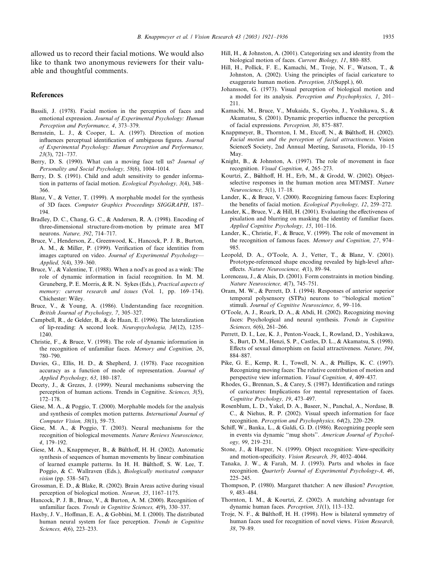allowed us to record their facial motions. We would also like to thank two anonymous reviewers for their valuable and thoughtful comments.

#### References

- Bassili, J. (1978). Facial motion in the perception of faces and emotional expression. Journal of Experimental Psychology: Human Perception and Performance, 4, 373–379.
- Bernstein, L. J., & Cooper, L. A. (1997). Direction of motion influences perceptual identification of ambiguous figures. Journal of Experimental Psychology: Human Perception and Performance, 23(3), 721–737.
- Berry, D. S. (1990). What can a moving face tell us? Journal of Personality and Social Psychology, 58(6), 1004–1014.
- Berry, D. S. (1991). Child and adult sensitivity to gender information in patterns of facial motion. Ecological Psychology, 3(4), 348– 366.
- Blanz, V., & Vetter, T. (1999). A morphable model for the synthesis of 3D faces. Computer Graphics Proceedings SIGGRAPH, 187– 194.
- Bradley, D. C., Chang, G. C., & Andersen, R. A. (1998). Encoding of three-dimensional structure-from-motion by primate area MT neurons. Nature, 392, 714–717.
- Bruce, V., Henderson, Z., Greenwood, K., Hancock, P. J. B., Burton, A. M., & Miller, P. (1999). Verification of face identities from images captured on video. Journal of Experimental Psychology-Applied, 5(4), 339–360.
- Bruce, V., & Valentine, T. (1988). When a nod's as good as a wink: The role of dynamic information in facial recognition. In M. M. Gruneberg, P. E. Morris, & R. N. Sykes (Eds.), Practical aspects of memory: current research and issues (Vol. 1, pp. 169-174). Chichester: Wiley.
- Bruce, V., & Young, A. (1986). Understanding face recognition. British Journal of Psychology, 7, 305–327.
- Campbell, R., de Gelder, B., & de Haan, E. (1996). The lateralization of lip-reading: A second look. Neuropsychologia, 34(12), 1235– 1240.
- Christie, F., & Bruce, V. (1998). The role of dynamic information in the recognition of unfamiliar faces. Memory and Cognition, 26, 780–790.
- Davies, G., Ellis, H. D., & Shepherd, J. (1978). Face recognition accuracy as a function of mode of representation. Journal of Applied Psychology, 63, 180–187.
- Decety, J., & Grezes, J. (1999). Neural mechanisms subserving the perception of human actions. Trends in Cognitive. Sciences, 3(5), 172–178.
- Giese, M. A., & Poggio, T. (2000). Morphable models for the analysis and synthesis of complex motion patterns. International Journal of Computer Vision, 38(1), 59–73.
- Giese, M. A., & Poggio, T. (2003). Neural mechanisms for the recognition of biological movements. Nature Reviews Neuroscience, 4, 179–192.
- Giese, M. A., Knappmeyer, B., & Bülthoff, H. H. (2002). Automatic synthesis of sequences of human movements by linear combination of learned example patterns. In H. H. Bülthoff, S. W. Lee, T. Poggio, & C. Wallraven (Eds.), Biologically motivated computer vision (pp. 538–547).
- Grossman, E. D., & Blake, R. (2002). Brain Areas active during visual perception of biological motion. Neuron, 35, 1167–1175.
- Hancock, P. J. B., Bruce, V., & Burton, A. M. (2000). Recognition of unfamiliar faces. Trends in Cognitive Sciences, 4(9), 330–337.
- Haxby, J. V., Hoffman, E. A., & Gobbini, M. I. (2000). The distributed human neural system for face perception. Trends in Cognitive Sciences, 4(6), 223–233.
- Hill, H., & Johnston, A. (2001). Categorizing sex and identity from the biological motion of faces. Current Biology, 11, 880–885.
- Hill, H., Pollick, F. E., Kamachi, M., Troje, N. F., Watson, T., & Johnston, A. (2002). Using the principles of facial caricature to exaggerate human motion. Perception, 31(Suppl.), 60.
- Johansson, G. (1973). Visual perception of biological motion and a model for its analysis. Perception and Psychophysics, 1, 201– 211.
- Kamachi, M., Bruce, V., Mukaida, S., Gyoba, J., Yoshikawa, S., & Akamatsu, S. (2001). Dynamic properties influence the perception of facial expressions. Perception, 30, 875–887.
- Knappmeyer, B., Thornton, I. M., Etcoff, N., & Bülthoff, H.  $(2002)$ . Facial motion and the perception of facial attractiveness. Vision ScienceS Society, 2nd Annual Meeting, Sarasota, Florida, 10–15 May.
- Knight, B., & Johnston, A. (1997). The role of movement in face recognition. Visual Cognition, 4, 265–273.
- Kourtzi, Z., Bülthoff, H. H., Erb, M., & Grodd, W. (2002). Objectselective responses in the human motion area MT/MST. Nature Neuroscience, 5(1), 17–18.
- Lander, K., & Bruce, V. (2000). Recognizing famous faces: Exploring the benefits of facial motion. Ecological Psychology, 12, 259–272.
- Lander, K., Bruce, V., & Hill, H. (2001). Evaluating the effectiveness of pixalation and blurring on masking the identity of familiar faces. Applied Cognitive Psychology, 15, 101–116.
- Lander, K., Christie, F., & Bruce, V. (1999). The role of movement in the recognition of famous faces. Memory and Cognition, 27, 974– 985.
- Leopold, D. A., OToole, A. J., Vetter, T., & Blanz, V. (2001). Prototype-referenced shape encoding revealed by high-level aftereffects. Nature Neuroscience, 4(1), 89–94.
- Lorenceau, J., & Alais, D. (2001). Form constraints in motion binding. Nature Neuroscience, 4(7), 745–751.
- Oram, M. W., & Perrett, D. I. (1994). Responses of anterior superior temporal polysensory (STPa) neurons to ''biological motion'' stimuli. Journal of Cognitive Neuroscience, 6, 99–116.
- OToole, A. J., Roark, D. A., & Abdi, H. (2002). Recognizing moving faces: Psychological and neural synthesis. Trends in Cognitive Sciences, 6(6), 261-266.
- Perrett, D. I., Lee, K. J., Penton-Voack, I., Rowland, D., Yoshikawa, S., Burt, D. M., Henzi, S. P., Castles, D. L., & Akamatsu, S. (1998). Effects of sexual dimorphism on facial attractiveness. Nature, 394, 884–887.
- Pike, G. E., Kemp, R. I., Towell, N. A., & Phillips, K. C. (1997). Recognizing moving faces: The relative contribution of motion and perspective view information. Visual Cognition, 4, 409–437.
- Rhodes, G., Brennan, S., & Carey, S. (1987). Identification and ratings of caricatures: Implications for mental representation of faces. Cognitive Psychology, 19, 473–497.
- Rosenblum, L. D., Yakel, D. A., Baseer, N., Panchal, A., Nordase, B. C., & Niehus, R. P. (2002). Visual speech information for face recognition. Perception and Psychophysics, 64(2), 220–229.
- Schiff, W., Banka, L., & Galdi, G. D. (1986). Recognizing people seen in events via dynamic ''mug shots''. American Journal of Psychology, 99, 219–231.
- Stone, J., & Harper, N. (1999). Object recognition: View-specificity and motion-specificity. Vision Research, 39, 4032–4044.
- Tanaka, J. W., & Farah, M. J. (1993). Parts and wholes in face recognition. Quarterly Journal of Experimental Psychology-A, 46, 225–245.
- Thompson, P. (1980). Margaret thatcher: A new illusion? Perception, 9, 483–484.
- Thornton, I. M., & Kourtzi, Z. (2002). A matching advantage for dynamic human faces. Perception, 31(1), 113–132.
- Troje, N. F.,  $\&$  Bülthoff, H. H. (1998). How is bilateral symmetry of human faces used for recognition of novel views. Vision Research, 38, 79–89.